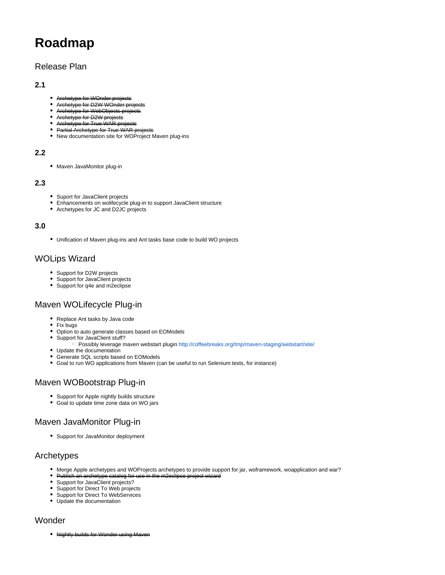# **Roadmap**

## Release Plan

#### **2.1**

- Archetype for WOnder projects
- Archetype for D2W WOnder pro  $\bullet$
- $\bullet$ Archetype for WebObjects projects
- Archetype for D2W projects
- Archetype for True WAR projects
- **Partial Archetype for True WAR projects**
- New documentation site for WOProject Maven plug-ins

#### **2.2**

• Maven JavaMonitor plug-in

#### **2.3**

- Suport for JavaClient projects
- Enhancements on wolifecycle plug-in to support JavaClient structure
- Archetypes for JC and D2JC projects

#### **3.0**

Unification of Maven plug-ins and Ant tasks base code to build WO projects

# WOLips Wizard

- Support for D2W projects
- Support for JavaClient projects
- Support for q4e and m2eclipse

# Maven WOLifecycle Plug-in

- Replace Ant tasks by Java code
- Fix bugs
- Option to auto generate classes based on EOModels
- Support for JavaClient stuff?
	- Possibly leverage maven webstart plugin <http://coffeebreaks.org/tmp/maven-staging/webstart/site/>
- Update the documentation
- Generate SQL scripts based on EOModels
- Goal to run WO applications from Maven (can be useful to run Selenium tests, for instance)

# Maven WOBootstrap Plug-in

- Support for Apple nightly builds structure
- Goal to update time zone data on WO jars

# Maven JavaMonitor Plug-in

Support for JavaMonitor deployment

## Archetypes

- Merge Apple archetypes and WOProjects archetypes to provide support for jar, woframework, woapplication and war?
- Publish an archetype catalog for use in the m2eclipse project wizard
- Support for JavaClient projects?
- Support for Direct To Web projects
- Support for Direct To WebServices
- Update the documentation

## Wonder

• Nightly builds for Wonder using Maven